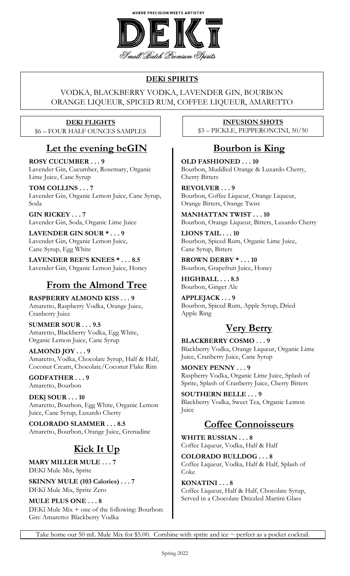

#### **DEKī SPIRITS**

#### VODKA, BLACKBERRY VODKA, LAVENDER GIN, BOURBON ORANGE LIQUEUR, SPICED RUM, COFFEE LIQUEUR, AMARETTO

#### **DEKī FLIGHTS** \$6 – FOUR HALF OUNCES SAMPLES

#### **Let the evening beGIN**

**ROSY CUCUMBER . . . 9** Lavender Gin, Cucumber, Rosemary, Organic Lime Juice, Cane Syrup

**TOM COLLINS . . . 7** Lavender Gin, Organic Lemon Juice, Cane Syrup, Soda

**GIN RICKEY . . . 7** Lavender Gin, Soda, Organic Lime Juice

**LAVENDER GIN SOUR \* . . . 9** Lavender Gin, Organic Lemon Juice, Cane Syrup, Egg White

**LAVENDER BEE'S KNEES \* . . . 8.5** Lavender Gin, Organic Lemon Juice, Honey

## **From the Almond Tree**

**RASPBERRY ALMOND KISS . . . 9** Amaretto, Raspberry Vodka, Orange Juice, Cranberry Juice

**SUMMER SOUR . . . 9.5** Amaretto, Blackberry Vodka, Egg White, Organic Lemon Juice, Cane Syrup

**ALMOND JOY . . . 9** Amaretto, Vodka, Chocolate Syrup, Half & Half, Coconut Cream, Chocolate/Coconut Flake Rim

**GODFATHER . . . 9** Amaretto, Bourbon

**DEKī SOUR . . . 10** Amaretto, Bourbon, Egg White, Organic Lemon Juice, Cane Syrup, Luxardo Cherry

**COLORADO SLAMMER . . . 8.5** Amaretto, Bourbon, Orange Juice, Grenadine

## **Kick It Up**

**MARY MILLER MULE . . . 7** DEKī Mule Mix, Sprite

**SKINNY MULE (103 Calories) . . . 7** DEKī Mule Mix, Sprite Zero

**MULE PLUS ONE . . . 8** DEKī Mule Mix + one of the following: Bourbon: Gin: Amaretto: Blackberry Vodka

**INFUSION SHOTS** \$3 – PICKLE, PEPPERONCINI, 50/50

### **Bourbon is King**

**OLD FASHIONED . . . 10** Bourbon, Muddled Orange & Luxardo Cherry, Cherry Bitters

**REVOLVER . . . 9** Bourbon, Coffee Liqueur, Orange Liqueur, Orange Bitters, Orange Twist

**MANHATTAN TWIST . . . 10** Bourbon, Orange Liqueur, Bitters, Luxardo Cherry

**LIONS TAIL . . . 10** Bourbon, Spiced Rum, Organic Lime Juice, Cane Syrup, Bitters

**BROWN DERBY \* . . . 10** Bourbon, Grapefruit Juice, Honey

**HIGHBALL . . . 8.5** Bourbon, Ginger Ale

**APPLEJACK . . . 9** Bourbon, Spiced Rum, Apple Syrup, Dried Apple Ring

#### **Very Berry**

**BLACKBERRY COSMO . . . 9** Blackberry Vodka, Orange Liqueur, Organic Lime Juice, Cranberry Juice, Cane Syrup

**MONEY PENNY . . . 9** Raspberry Vodka, Organic Lime Juice, Splash of Sprite, Splash of Cranberry Juice, Cherry Bitters

**SOUTHERN BELLE . . . 9** Blackberry Vodka, Sweet Tea, Organic Lemon Juice

### **Coffee Connoisseurs**

**WHITE RUSSIAN . . . 8** Coffee Liqueur, Vodka, Half & Half

**COLORADO BULLDOG . . . 8** Coffee Liqueur, Vodka, Half & Half, Splash of Coke

**KONATINI . . . 8** Coffee Liqueur, Half & Half, Chocolate Syrup, Served in a Chocolate Drizzled Martini Glass

Take home our 50 mL Mule Mix for \$5.00. Combine with sprite and ice  $\sim$  perfect as a pocket cocktail.